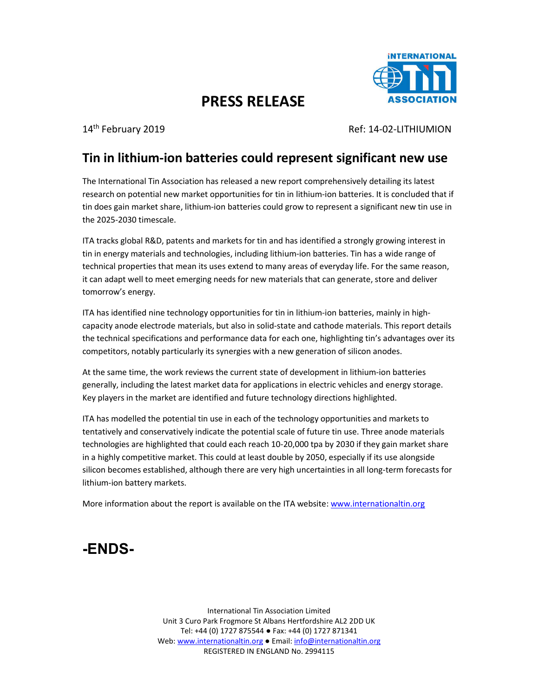

## **PRESS RELEASE**

14th February 2019 Ref: 14-02-LITHIUMION

## **Tin in lithium-ion batteries could represent significant new use**

The International Tin Association has released a new report comprehensively detailing its latest research on potential new market opportunities for tin in lithium-ion batteries. It is concluded that if tin does gain market share, lithium-ion batteries could grow to represent a significant new tin use in the 2025-2030 timescale.

ITA tracks global R&D, patents and markets for tin and has identified a strongly growing interest in tin in energy materials and technologies, including lithium-ion batteries. Tin has a wide range of technical properties that mean its uses extend to many areas of everyday life. For the same reason, it can adapt well to meet emerging needs for new materials that can generate, store and deliver tomorrow's energy.

ITA has identified nine technology opportunities for tin in lithium-ion batteries, mainly in highcapacity anode electrode materials, but also in solid-state and cathode materials. This report details the technical specifications and performance data for each one, highlighting tin's advantages over its competitors, notably particularly its synergies with a new generation of silicon anodes.

At the same time, the work reviews the current state of development in lithium-ion batteries generally, including the latest market data for applications in electric vehicles and energy storage. Key players in the market are identified and future technology directions highlighted.

ITA has modelled the potential tin use in each of the technology opportunities and markets to tentatively and conservatively indicate the potential scale of future tin use. Three anode materials technologies are highlighted that could each reach 10-20,000 tpa by 2030 if they gain market share in a highly competitive market. This could at least double by 2050, especially if its use alongside silicon becomes established, although there are very high uncertainties in all long-term forecasts for lithium-ion battery markets.

More information about the report is available on the ITA website: www.internationaltin.org

## **-ENDS-**

International Tin Association Limited Unit 3 Curo Park Frogmore St Albans Hertfordshire AL2 2DD UK Tel: +44 (0) 1727 875544 ● Fax: +44 (0) 1727 871341 Web: www.internationaltin.org ● Email: info@internationaltin.org REGISTERED IN ENGLAND No. 2994115